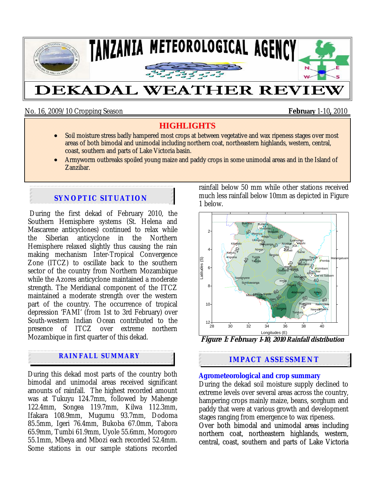

No. 16, 2009/10 Cropping Season **February** 1-10**,** 2010

# **HIGHLIGHTS**

- Soil moisture stress badly hampered most crops at between vegetative and wax ripeness stages over most areas of both bimodal and unimodal including northern coat, northeastern highlands, western, central, coast, southern and parts of Lake Victoria basin.
- Armyworm outbreaks spoiled young maize and paddy crops in some unimodal areas and in the Island of Zanzibar.

# **SYNOPTIC SITUATION**

 During the first dekad of February 2010, the Southern Hemisphere systems (St. Helena and Mascarene anticyclones) continued to relax while the Siberian anticyclone in the Northern Hemisphere relaxed slightly thus causing the rain making mechanism Inter-Tropical Convergence Zone (ITCZ) to oscillate back to the southern sector of the country from Northern Mozambique while the Azores anticyclone maintained a moderate strength. The Meridianal component of the ITCZ maintained a moderate strength over the western part of the country. The occurrence of tropical depression 'FAMI' (from 1st to 3rd February) over South-western Indian Ocean contributed to the presence of ITCZ over extreme northern Mozambique in first quarter of this dekad.

## **RAINFALL SUMMARY**

. During this dekad most parts of the country both bimodal and unimodal areas received significant amounts of rainfall. The highest recorded amount was at Tukuyu 124.7mm, followed by Mahenge 122.4mm, Songea 119.7mm, Kilwa 112.3mm, Ifakara 108.9mm, Mugumu 93.7mm, Dodoma 85.5mm, Igeri 76.4mm, Bukoba 67.0mm, Tabora 65.9mm, Tumbi 61.9mm, Uyole 55.6mm, Morogoro 55.1mm, Mbeya and Mbozi each recorded 52.4mm. Some stations in our sample stations recorded rainfall below 50 mm while other stations received much less rainfall below 10mm as depicted in Figure 1 below.



**Figure 1: February 1-10, 2010 Rainfall distribution**

# **IMPACT ASSESSMENT**

### **Agrometeorological and crop summary**

During the dekad soil moisture supply declined to extreme levels over several areas across the country, hampering crops mainly maize, beans, sorghum and paddy that were at various growth and development stages ranging from emergence to wax ripeness.

Over both bimodal and unimodal areas including northern coat, northeastern highlands, western, central, coast, southern and parts of Lake Victoria